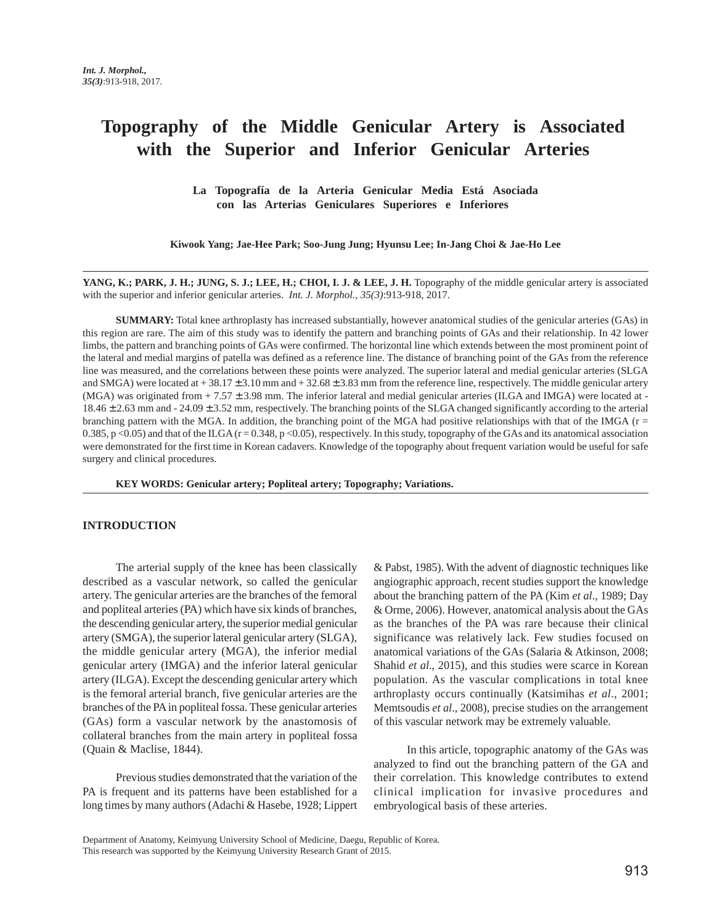# **Topography of the Middle Genicular Artery is Associated with the Superior and Inferior Genicular Arteries**

**La Topografía de la Arteria Genicular Media Está Asociada con las Arterias Geniculares Superiores e Inferiores**

**Kiwook Yang; Jae-Hee Park; Soo-Jung Jung; Hyunsu Lee; In-Jang Choi & Jae-Ho Lee**

**YANG, K.; PARK, J. H.; JUNG, S. J.; LEE, H.; CHOI, I. J. & LEE, J. H.** Topography of the middle genicular artery is associated with the superior and inferior genicular arteries. *Int. J. Morphol., 35(3)*:913-918, 2017.

**SUMMARY:** Total knee arthroplasty has increased substantially, however anatomical studies of the genicular arteries (GAs) in this region are rare. The aim of this study was to identify the pattern and branching points of GAs and their relationship. In 42 lower limbs, the pattern and branching points of GAs were confirmed. The horizontal line which extends between the most prominent point of the lateral and medial margins of patella was defined as a reference line. The distance of branching point of the GAs from the reference line was measured, and the correlations between these points were analyzed. The superior lateral and medial genicular arteries (SLGA and SMGA) were located at  $+38.17 \pm 3.10$  mm and  $+32.68 \pm 3.83$  mm from the reference line, respectively. The middle genicular artery (MGA) was originated from + 7.57 ± 3.98 mm. The inferior lateral and medial genicular arteries (ILGA and IMGA) were located at - 18.46 ± 2.63 mm and - 24.09 ± 3.52 mm, respectively. The branching points of the SLGA changed significantly according to the arterial branching pattern with the MGA. In addition, the branching point of the MGA had positive relationships with that of the IMGA ( $r =$ 0.385, p <0.05) and that of the ILGA  $(r = 0.348, p \lt 0.05)$ , respectively. In this study, topography of the GAs and its anatomical association were demonstrated for the first time in Korean cadavers. Knowledge of the topography about frequent variation would be useful for safe surgery and clinical procedures.

**KEY WORDS: Genicular artery; Popliteal artery; Topography; Variations.**

## **INTRODUCTION**

The arterial supply of the knee has been classically described as a vascular network, so called the genicular artery. The genicular arteries are the branches of the femoral and popliteal arteries (PA) which have six kinds of branches, the descending genicular artery, the superior medial genicular artery (SMGA), the superior lateral genicular artery (SLGA), the middle genicular artery (MGA), the inferior medial genicular artery (IMGA) and the inferior lateral genicular artery (ILGA). Except the descending genicular artery which is the femoral arterial branch, five genicular arteries are the branches of the PA in popliteal fossa. These genicular arteries (GAs) form a vascular network by the anastomosis of collateral branches from the main artery in popliteal fossa (Quain & Maclise, 1844).

Previous studies demonstrated that the variation of the PA is frequent and its patterns have been established for a long times by many authors (Adachi & Hasebe, 1928; Lippert

& Pabst, 1985). With the advent of diagnostic techniques like angiographic approach, recent studies support the knowledge about the branching pattern of the PA (Kim *et al*., 1989; Day & Orme, 2006). However, anatomical analysis about the GAs as the branches of the PA was rare because their clinical significance was relatively lack. Few studies focused on anatomical variations of the GAs (Salaria & Atkinson, 2008; Shahid *et al.*, 2015), and this studies were scarce in Korean population. As the vascular complications in total knee arthroplasty occurs continually (Katsimihas *et al*., 2001; Memtsoudis *et al*., 2008), precise studies on the arrangement of this vascular network may be extremely valuable.

In this article, topographic anatomy of the GAs was analyzed to find out the branching pattern of the GA and their correlation. This knowledge contributes to extend clinical implication for invasive procedures and embryological basis of these arteries.

Department of Anatomy, Keimyung University School of Medicine, Daegu, Republic of Korea. This research was supported by the Keimyung University Research Grant of 2015.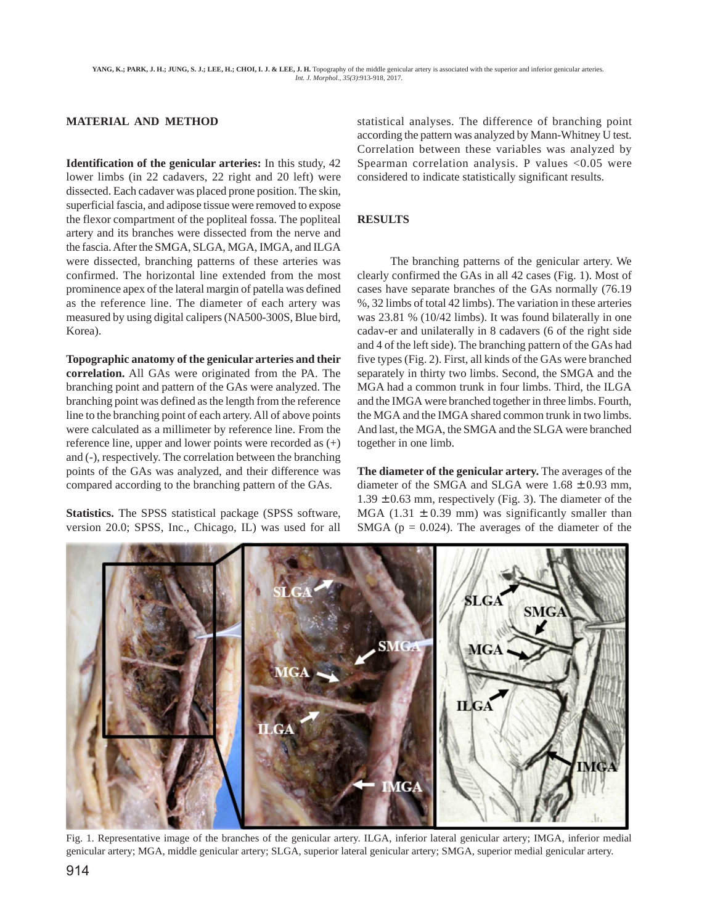# **MATERIAL AND METHOD**

**Identification of the genicular arteries:** In this study, 42 lower limbs (in 22 cadavers, 22 right and 20 left) were dissected. Each cadaver was placed prone position. The skin, superficial fascia, and adipose tissue were removed to expose the flexor compartment of the popliteal fossa. The popliteal artery and its branches were dissected from the nerve and the fascia. After the SMGA, SLGA, MGA, IMGA, and ILGA were dissected, branching patterns of these arteries was confirmed. The horizontal line extended from the most prominence apex of the lateral margin of patella was defined as the reference line. The diameter of each artery was measured by using digital calipers (NA500-300S, Blue bird, Korea).

**Topographic anatomy of the genicular arteries and their correlation.** All GAs were originated from the PA. The branching point and pattern of the GAs were analyzed. The branching point was defined as the length from the reference line to the branching point of each artery. All of above points were calculated as a millimeter by reference line. From the reference line, upper and lower points were recorded as (+) and (-), respectively. The correlation between the branching points of the GAs was analyzed, and their difference was compared according to the branching pattern of the GAs.

**Statistics.** The SPSS statistical package (SPSS software, version 20.0; SPSS, Inc., Chicago, IL) was used for all statistical analyses. The difference of branching point according the pattern was analyzed by Mann-Whitney U test. Correlation between these variables was analyzed by Spearman correlation analysis. P values  $< 0.05$  were considered to indicate statistically significant results.

# **RESULTS**

The branching patterns of the genicular artery. We clearly confirmed the GAs in all 42 cases (Fig. 1). Most of cases have separate branches of the GAs normally (76.19 %, 32 limbs of total 42 limbs). The variation in these arteries was 23.81 % (10/42 limbs). It was found bilaterally in one cadav-er and unilaterally in 8 cadavers (6 of the right side and 4 of the left side). The branching pattern of the GAs had five types (Fig. 2). First, all kinds of the GAs were branched separately in thirty two limbs. Second, the SMGA and the MGA had a common trunk in four limbs. Third, the ILGA and the IMGA were branched together in three limbs. Fourth, the MGA and the IMGA shared common trunk in two limbs. And last, the MGA, the SMGA and the SLGA were branched together in one limb.

**The diameter of the genicular artery.** The averages of the diameter of the SMGA and SLGA were  $1.68 \pm 0.93$  mm,  $1.39 \pm 0.63$  mm, respectively (Fig. 3). The diameter of the MGA (1.31  $\pm$  0.39 mm) was significantly smaller than SMGA ( $p = 0.024$ ). The averages of the diameter of the



Fig. 1. Representative image of the branches of the genicular artery. ILGA, inferior lateral genicular artery; IMGA, inferior medial genicular artery; MGA, middle genicular artery; SLGA, superior lateral genicular artery; SMGA, superior medial genicular artery.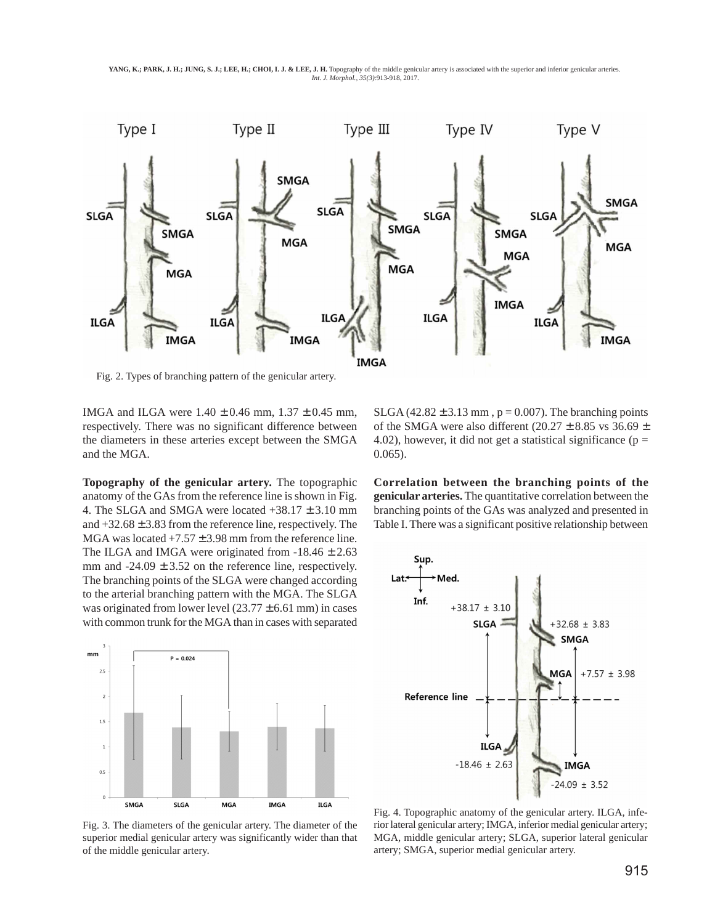**YANG, K.; PARK, J. H.; JUNG, S. J.; LEE, H.; CHOI, I. J. & LEE, J. H.** Topography of the middle genicular artery is associated with the superior and inferior genicular arteries. *Int. J. Morphol., 35(3)*:913-918, 2017.



Fig. 2. Types of branching pattern of the genicular artery.

IMGA and ILGA were  $1.40 \pm 0.46$  mm,  $1.37 \pm 0.45$  mm, respectively. There was no significant difference between the diameters in these arteries except between the SMGA and the MGA.

**Topography of the genicular artery.** The topographic anatomy of the GAs from the reference line is shown in Fig. 4. The SLGA and SMGA were located  $+38.17 \pm 3.10$  mm and  $+32.68 \pm 3.83$  from the reference line, respectively. The MGA was located  $+7.57 \pm 3.98$  mm from the reference line. The ILGA and IMGA were originated from  $-18.46 \pm 2.63$ mm and  $-24.09 \pm 3.52$  on the reference line, respectively. The branching points of the SLGA were changed according to the arterial branching pattern with the MGA. The SLGA was originated from lower level  $(23.77 \pm 6.61 \text{ mm})$  in cases with common trunk for the MGA than in cases with separated



Fig. 3. The diameters of the genicular artery. The diameter of the superior medial genicular artery was significantly wider than that of the middle genicular artery.

SLGA (42.82  $\pm$  3.13 mm, p = 0.007). The branching points of the SMGA were also different (20.27  $\pm$  8.85 vs 36.69  $\pm$ 4.02), however, it did not get a statistical significance ( $p =$ 0.065).

**Correlation between the branching points of the genicular arteries.** The quantitative correlation between the branching points of the GAs was analyzed and presented in Table I. There was a significant positive relationship between



Fig. 4. Topographic anatomy of the genicular artery. ILGA, inferior lateral genicular artery; IMGA, inferior medial genicular artery; MGA, middle genicular artery; SLGA, superior lateral genicular artery; SMGA, superior medial genicular artery.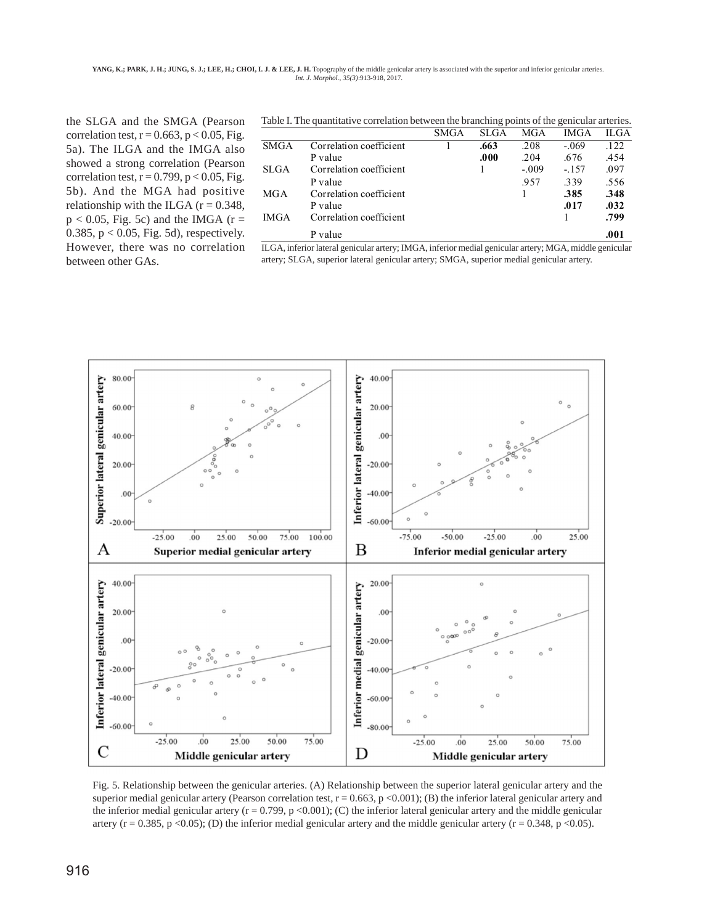**YANG, K.; PARK, J. H.; JUNG, S. J.; LEE, H.; CHOI, I. J. & LEE, J. H.** Topography of the middle genicular artery is associated with the superior and inferior genicular arteries. *Int. J. Morphol., 35(3)*:913-918, 2017.

the SLGA and the SMGA (Pearson correlation test,  $r = 0.663$ ,  $p < 0.05$ , Fig. 5a). The ILGA and the IMGA also showed a strong correlation (Pearson correlation test,  $r = 0.799$ ,  $p < 0.05$ , Fig. 5b). And the MGA had positive relationship with the ILGA  $(r = 0.348,$  $p < 0.05$ , Fig. 5c) and the IMGA (r = 0.385,  $p < 0.05$ , Fig. 5d), respectively. However, there was no correlation between other GAs.

|             |                         | <b>SMGA</b> | <b>SLGA</b> | MGA     | <b>IMGA</b> | ILGA |
|-------------|-------------------------|-------------|-------------|---------|-------------|------|
| <b>SMGA</b> | Correlation coefficient |             | .663        | .208    | $-.069$     | .122 |
|             | P value                 |             | .000        | .204    | .676        | .454 |
| <b>SLGA</b> | Correlation coefficient |             |             | $-.009$ | $-.157$     | .097 |
|             | P value                 |             |             | .957    | .339        | .556 |
| MGA         | Correlation coefficient |             |             |         | .385        | .348 |
|             | P value                 |             |             |         | .017        | .032 |
| <b>IMGA</b> | Correlation coefficient |             |             |         |             | .799 |
|             | P value                 |             |             |         |             | .001 |

Table I. The quantitative correlation between the branching points of the genicular arteries.

ILGA, inferior lateral genicular artery; IMGA, inferior medial genicular artery; MGA, middle genicular artery; SLGA, superior lateral genicular artery; SMGA, superior medial genicular artery.



Fig. 5. Relationship between the genicular arteries. (A) Relationship between the superior lateral genicular artery and the superior medial genicular artery (Pearson correlation test,  $r = 0.663$ ,  $p < 0.001$ ); (B) the inferior lateral genicular artery and the inferior medial genicular artery ( $r = 0.799$ ,  $p \le 0.001$ ); (C) the inferior lateral genicular artery and the middle genicular artery ( $r = 0.385$ ,  $p \le 0.05$ ); (D) the inferior medial genicular artery and the middle genicular artery ( $r = 0.348$ ,  $p \le 0.05$ ).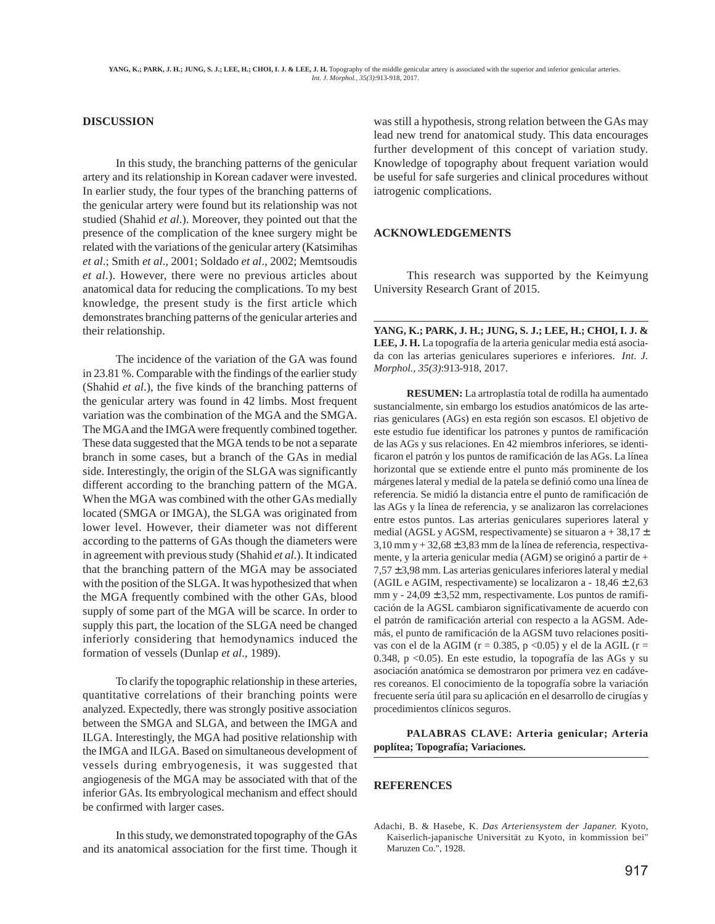## **DISCUSSION**

In this study, the branching patterns of the genicular artery and its relationship in Korean cadaver were invested. In earlier study, the four types of the branching patterns of the genicular artery were found but its relationship was not studied (Shahid *et al*.). Moreover, they pointed out that the presence of the complication of the knee surgery might be related with the variations of the genicular artery (Katsimihas *et al*.; Smith *et al*., 2001; Soldado *et al*., 2002; Memtsoudis *et al*.). However, there were no previous articles about anatomical data for reducing the complications. To my best knowledge, the present study is the first article which demonstrates branching patterns of the genicular arteries and their relationship.

The incidence of the variation of the GA was found in 23.81 %. Comparable with the findings of the earlier study (Shahid *et al*.), the five kinds of the branching patterns of the genicular artery was found in 42 limbs. Most frequent variation was the combination of the MGA and the SMGA. The MGA and the IMGA were frequently combined together. These data suggested that the MGA tends to be not a separate branch in some cases, but a branch of the GAs in medial side. Interestingly, the origin of the SLGA was significantly different according to the branching pattern of the MGA. When the MGA was combined with the other GAs medially located (SMGA or IMGA), the SLGA was originated from lower level. However, their diameter was not different according to the patterns of GAs though the diameters were in agreement with previous study (Shahid *et al*.). It indicated that the branching pattern of the MGA may be associated with the position of the SLGA. It was hypothesized that when the MGA frequently combined with the other GAs, blood supply of some part of the MGA will be scarce. In order to supply this part, the location of the SLGA need be changed inferiorly considering that hemodynamics induced the formation of vessels (Dunlap *et al*., 1989).

To clarify the topographic relationship in these arteries, quantitative correlations of their branching points were analyzed. Expectedly, there was strongly positive association between the SMGA and SLGA, and between the IMGA and ILGA. Interestingly, the MGA had positive relationship with the IMGA and ILGA. Based on simultaneous development of vessels during embryogenesis, it was suggested that angiogenesis of the MGA may be associated with that of the inferior GAs. Its embryological mechanism and effect should be confirmed with larger cases.

In this study, we demonstrated topography of the GAs and its anatomical association for the first time. Though it

was still a hypothesis, strong relation between the GAs may lead new trend for anatomical study. This data encourages further development of this concept of variation study. Knowledge of topography about frequent variation would be useful for safe surgeries and clinical procedures without iatrogenic complications.

#### **ACKNOWLEDGEMENTS**

This research was supported by the Keimyung University Research Grant of 2015.

**YANG, K.; PARK, J. H.; JUNG, S. J.; LEE, H.; CHOI, I. J. & LEE, J. H.** La topografía de la arteria genicular media está asociada con las arterias geniculares superiores e inferiores. *Int. J. Morphol., 35(3)*:913-918, 2017.

**RESUMEN:** La artroplastía total de rodilla ha aumentado sustancialmente, sin embargo los estudios anatómicos de las arterias geniculares (AGs) en esta región son escasos. El objetivo de este estudio fue identificar los patrones y puntos de ramificación de las AGs y sus relaciones. En 42 miembros inferiores, se identificaron el patrón y los puntos de ramificación de las AGs. La línea horizontal que se extiende entre el punto más prominente de los márgenes lateral y medial de la patela se definió como una línea de referencia. Se midió la distancia entre el punto de ramificación de las AGs y la línea de referencia, y se analizaron las correlaciones entre estos puntos. Las arterias geniculares superiores lateral y medial (AGSL y AGSM, respectivamente) se situaron a + 38,17  $\pm$  $3,10$  mm y +  $32,68 \pm 3,83$  mm de la línea de referencia, respectivamente, y la arteria genicular media (AGM) se originó a partir de +  $7,57 \pm 3,98$  mm. Las arterias geniculares inferiores lateral y medial (AGIL e AGIM, respectivamente) se localizaron a - 18,46 ± 2,63 mm y - 24,09 ± 3,52 mm, respectivamente. Los puntos de ramificación de la AGSL cambiaron significativamente de acuerdo con el patrón de ramificación arterial con respecto a la AGSM. Además, el punto de ramificación de la AGSM tuvo relaciones positivas con el de la AGIM ( $r = 0.385$ ,  $p \le 0.05$ ) y el de la AGIL ( $r =$ 0.348, p <0.05). En este estudio, la topografía de las AGs y su asociación anatómica se demostraron por primera vez en cadáveres coreanos. El conocimiento de la topografía sobre la variación frecuente sería útil para su aplicación en el desarrollo de cirugías y procedimientos clínicos seguros.

**PALABRAS CLAVE: Arteria genicular; Arteria poplítea; Topografía; Variaciones.**

## **REFERENCES**

Adachi, B. & Hasebe, K. *Das Arteriensystem der Japaner.* Kyoto, Kaiserlich-japanische Universität zu Kyoto, in kommission bei" Maruzen Co.", 1928.